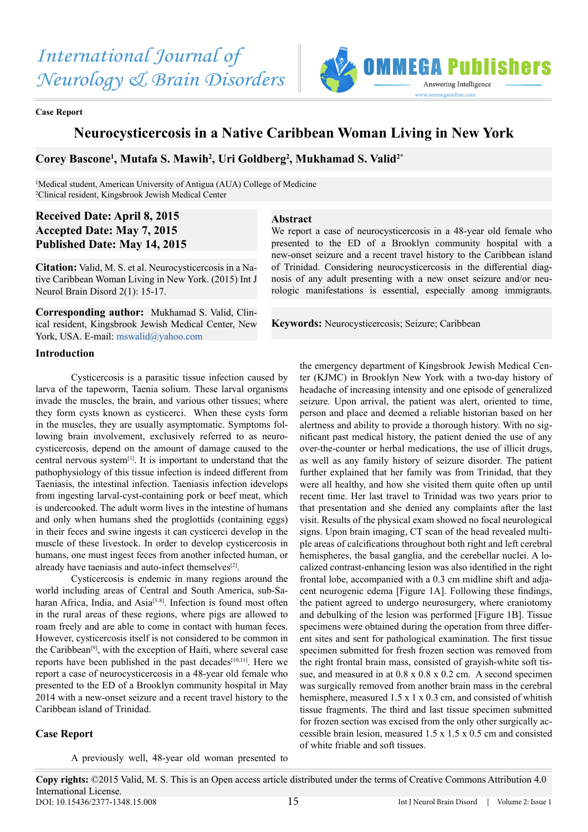

#### **Case Report**

# **Neurocysticercosis in a Native Caribbean Woman Living in New York**

**Abstract**

## **Corey Bascone1 , Mutafa S. Mawih2 , Uri Goldberg2 , Mukhamad S. Valid2\***

<sup>1</sup>Medical student, American University of Antigua (AUA) College of Medicine 2 Clinical resident, Kingsbrook Jewish Medical Center

# **Received Date: April 8, 2015 Accepted Date: May 7, 2015 Published Date: May 14, 2015**

**Citation:** Valid, M. S. et al. Neurocysticercosis in a Native Caribbean Woman Living in New York. (2015) Int J Neurol Brain Disord 2(1): 15-17.

**Corresponding author:** Mukhamad S. Valid, Clinical resident, Kingsbrook Jewish Medical Center, New York, USA. E-mail: [mswalid@yahoo.com](mailto:mswalid%40yahoo.com?subject=)

#### **Introduction**

Cysticercosis is a parasitic tissue infection caused by larva of the tapeworm, Taenia solium. These larval organisms invade the muscles, the brain, and various other tissues; where they form cysts known as cysticerci. When these cysts form in the muscles, they are usually asymptomatic. Symptoms following brain involvement, exclusively referred to as neurocysticercosis, depend on the amount of damage caused to the central nervous system[1]. It is important to understand that the pathophysiology of this tissue infection is indeed different from Taeniasis, the intestinal infection. Taeniasis infection idevelops from ingesting larval-cyst-containing pork or beef meat, which is undercooked. The adult worm lives in the intestine of humans and only when humans shed the proglottids (containing eggs) in their feces and swine ingests it can cysticerci develop in the muscle of these livestock. In order to develop cysticercosis in humans, one must ingest feces from another infected human, or already have taeniasis and auto-infect themselves<sup>[2]</sup>.

Cysticercosis is endemic in many regions around the world including areas of Central and South America, sub-Saharan Africa, India, and Asia<sup>[3-8]</sup>. Infection is found most often in the rural areas of these regions, where pigs are allowed to roam freely and are able to come in contact with human feces. However, cysticercosis itself is not considered to be common in the Caribbean<sup>[9]</sup>, with the exception of Haiti, where several case reports have been published in the past decades[10,11]. Here we report a case of neurocysticercosis in a 48-year old female who presented to the ED of a Brooklyn community hospital in May 2014 with a new-onset seizure and a recent travel history to the Caribbean island of Trinidad.

### **Case Report**

A previously well, 48-year old woman presented to

We report a case of neurocysticercosis in a 48-year old female who presented to the ED of a Brooklyn community hospital with a new-onset seizure and a recent travel history to the Caribbean island of Trinidad. Considering neurocysticercosis in the differential diagnosis of any adult presenting with a new onset seizure and/or neurologic manifestations is essential, especially among immigrants.

**Keywords:** Neurocysticercosis; Seizure; Caribbean

the emergency department of Kingsbrook Jewish Medical Center (KJMC) in Brooklyn New York with a two-day history of headache of increasing intensity and one episode of generalized seizure. Upon arrival, the patient was alert, oriented to time, person and place and deemed a reliable historian based on her alertness and ability to provide a thorough history. With no significant past medical history, the patient denied the use of any over-the-counter or herbal medications, the use of illicit drugs, as well as any family history of seizure disorder. The patient further explained that her family was from Trinidad, that they were all healthy, and how she visited them quite often up until recent time. Her last travel to Trinidad was two years prior to that presentation and she denied any complaints after the last visit. Results of the physical exam showed no focal neurological signs. Upon brain imaging, CT scan of the head revealed multiple areas of calcifications throughout both right and left cerebral hemispheres, the basal ganglia, and the cerebellar nuclei. A localized contrast-enhancing lesion was also identified in the right frontal lobe, accompanied with a 0.3 cm midline shift and adjacent neurogenic edema [Figure 1A]. Following these findings, the patient agreed to undergo neurosurgery, where craniotomy and debulking of the lesion was performed [Figure 1B]. Tissue specimens were obtained during the operation from three different sites and sent for pathological examination. The first tissue specimen submitted for fresh frozen section was removed from the right frontal brain mass, consisted of grayish-white soft tissue, and measured in at  $0.8 \times 0.8 \times 0.2$  cm. A second specimen was surgically removed from another brain mass in the cerebral hemisphere, measured 1.5 x 1 x 0.3 cm, and consisted of whitish tissue fragments. The third and last tissue specimen submitted for frozen section was excised from the only other surgically accessible brain lesion, measured 1.5 x 1.5 x 0.5 cm and consisted of white friable and soft tissues.

**Copy rights:** ©2015 Valid, M. S. This is an Open access article distributed under the terms of Creative Commons Attribution 4.0 International License. 15 DOI: 10.15436/2377-1348.15.008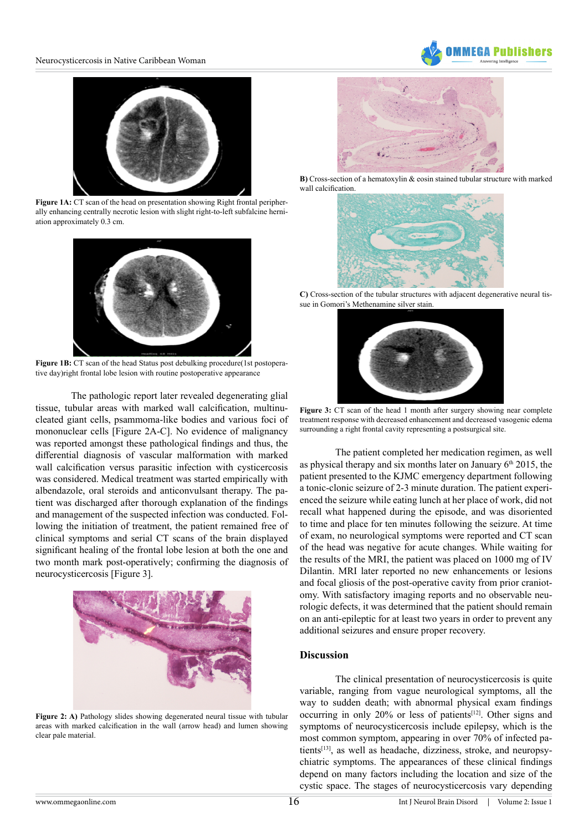



**Figure 1A:** CT scan of the head on presentation showing Right frontal peripherally enhancing centrally necrotic lesion with slight right-to-left subfalcine herniation approximately 0.3 cm.



**Figure 1B:** CT scan of the head Status post debulking procedure(1st postoperative day)right frontal lobe lesion with routine postoperative appearance

The pathologic report later revealed degenerating glial tissue, tubular areas with marked wall calcification, multinucleated giant cells, psammoma-like bodies and various foci of mononuclear cells [Figure 2A-C]. No evidence of malignancy was reported amongst these pathological findings and thus, the differential diagnosis of vascular malformation with marked wall calcification versus parasitic infection with cysticercosis was considered. Medical treatment was started empirically with albendazole, oral steroids and anticonvulsant therapy. The patient was discharged after thorough explanation of the findings and management of the suspected infection was conducted. Following the initiation of treatment, the patient remained free of clinical symptoms and serial CT scans of the brain displayed significant healing of the frontal lobe lesion at both the one and two month mark post-operatively; confirming the diagnosis of neurocysticercosis [Figure 3].



**Figure 2: A)** Pathology slides showing degenerated neural tissue with tubular areas with marked calcification in the wall (arrow head) and lumen showing clear pale material.



**B)** Cross-section of a hematoxylin & eosin stained tubular structure with marked wall calcification



**C)** Cross-section of the tubular structures with adjacent degenerative neural tissue in Gomori's Methenamine silver stain.



Figure 3: CT scan of the head 1 month after surgery showing near complete treatment response with decreased enhancement and decreased vasogenic edema surrounding a right frontal cavity representing a postsurgical site.

The patient completed her medication regimen, as well as physical therapy and six months later on January  $6<sup>th</sup> 2015$ , the patient presented to the KJMC emergency department following a tonic-clonic seizure of 2-3 minute duration. The patient experienced the seizure while eating lunch at her place of work, did not recall what happened during the episode, and was disoriented to time and place for ten minutes following the seizure. At time of exam, no neurological symptoms were reported and CT scan of the head was negative for acute changes. While waiting for the results of the MRI, the patient was placed on 1000 mg of IV Dilantin. MRI later reported no new enhancements or lesions and focal gliosis of the post-operative cavity from prior craniotomy. With satisfactory imaging reports and no observable neurologic defects, it was determined that the patient should remain on an anti-epileptic for at least two years in order to prevent any additional seizures and ensure proper recovery.

### **Discussion**

The clinical presentation of neurocysticercosis is quite variable, ranging from vague neurological symptoms, all the way to sudden death; with abnormal physical exam findings occurring in only 20% or less of patients<sup>[12]</sup>. Other signs and symptoms of neurocysticercosis include epilepsy, which is the most common symptom, appearing in over 70% of infected patients<sup>[13]</sup>, as well as headache, dizziness, stroke, and neuropsychiatric symptoms. The appearances of these clinical findings depend on many factors including the location and size of the cystic space. The stages of neurocysticercosis vary depending